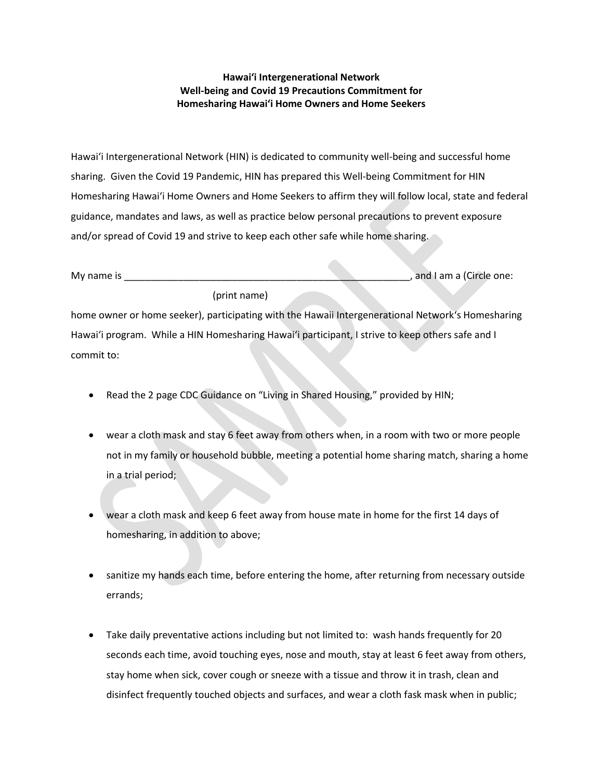## **Hawaiʻi Intergenerational Network Well-being and Covid 19 Precautions Commitment for Homesharing Hawaiʻi Home Owners and Home Seekers**

Hawaiʻi Intergenerational Network (HIN) is dedicated to community well-being and successful home sharing. Given the Covid 19 Pandemic, HIN has prepared this Well-being Commitment for HIN Homesharing Hawaiʻi Home Owners and Home Seekers to affirm they will follow local, state and federal guidance, mandates and laws, as well as practice below personal precautions to prevent exposure and/or spread of Covid 19 and strive to keep each other safe while home sharing.

| My name is |              |  | and I am a (Circle one: |
|------------|--------------|--|-------------------------|
|            | (print name) |  |                         |

home owner or home seeker), participating with the Hawaii Intergenerational Networkʻs Homesharing Hawaiʻi program. While a HIN Homesharing Hawaiʻi participant, I strive to keep others safe and I commit to:

- Read the 2 page CDC Guidance on "Living in Shared Housing," provided by HIN;
- wear a cloth mask and stay 6 feet away from others when, in a room with two or more people not in my family or household bubble, meeting a potential home sharing match, sharing a home in a trial period;
- wear a cloth mask and keep 6 feet away from house mate in home for the first 14 days of homesharing, in addition to above;
- sanitize my hands each time, before entering the home, after returning from necessary outside errands;
- Take daily preventative actions including but not limited to: wash hands frequently for 20 seconds each time, avoid touching eyes, nose and mouth, stay at least 6 feet away from others, stay home when sick, cover cough or sneeze with a tissue and throw it in trash, clean and disinfect frequently touched objects and surfaces, and wear a cloth fask mask when in public;